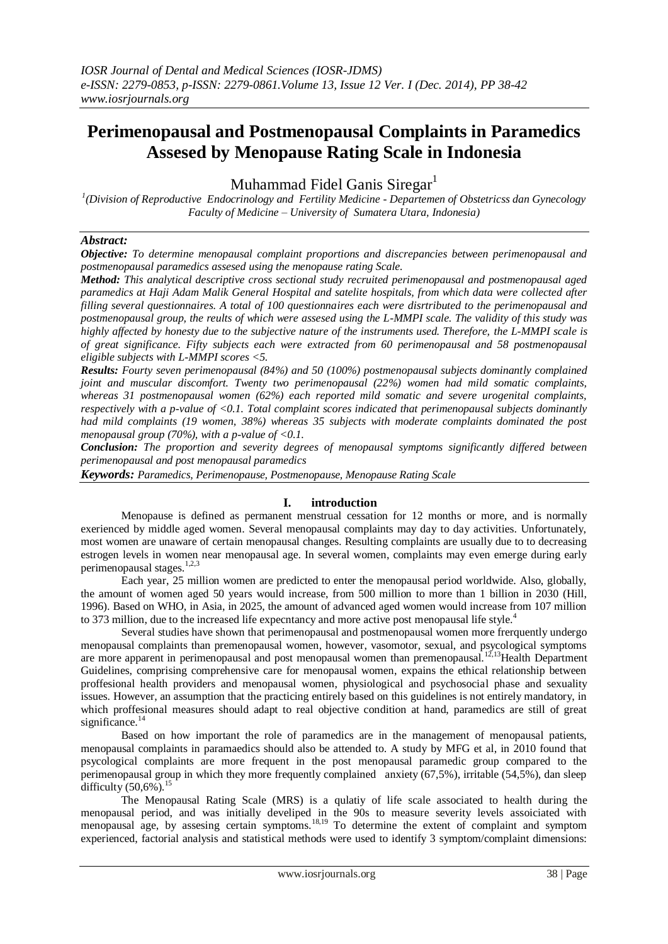# **Perimenopausal and Postmenopausal Complaints in Paramedics Assesed by Menopause Rating Scale in Indonesia**

Muhammad Fidel Ganis Siregar $<sup>1</sup>$ </sup>

*1 (Division of Reproductive Endocrinology and Fertility Medicine - Departemen of Obstetricss dan Gynecology Faculty of Medicine – University of Sumatera Utara, Indonesia)*

## *Abstract:*

*Objective: To determine menopausal complaint proportions and discrepancies between perimenopausal and postmenopausal paramedics assesed using the menopause rating Scale.* 

*Method: This analytical descriptive cross sectional study recruited perimenopausal and postmenopausal aged paramedics at Haji Adam Malik General Hospital and satelite hospitals, from which data were collected after filling several questionnaires. A total of 100 questionnaires each were disrtributed to the perimenopausal and postmenopausal group, the reults of which were assesed using the L-MMPI scale. The validity of this study was highly affected by honesty due to the subjective nature of the instruments used. Therefore, the L-MMPI scale is of great significance. Fifty subjects each were extracted from 60 perimenopausal and 58 postmenopausal eligible subjects with L-MMPI scores <5.* 

*Results: Fourty seven perimenopausal (84%) and 50 (100%) postmenopausal subjects dominantly complained joint and muscular discomfort. Twenty two perimenopausal (22%) women had mild somatic complaints, whereas 31 postmenopausal women (62%) each reported mild somatic and severe urogenital complaints, respectively with a p-value of <0.1. Total complaint scores indicated that perimenopausal subjects dominantly had mild complaints (19 women, 38%) whereas 35 subjects with moderate complaints dominated the post menopausal group (70%), with a p-value of <0.1.* 

*Conclusion: The proportion and severity degrees of menopausal symptoms significantly differed between perimenopausal and post menopausal paramedics*

*Keywords: Paramedics, Perimenopause, Postmenopause, Menopause Rating Scale*

#### **I. introduction**

Menopause is defined as permanent menstrual cessation for 12 months or more, and is normally exerienced by middle aged women. Several menopausal complaints may day to day activities. Unfortunately, most women are unaware of certain menopausal changes. Resulting complaints are usually due to to decreasing estrogen levels in women near menopausal age. In several women, complaints may even emerge during early perimenopausal stages. $1,2,3$ 

Each year, 25 million women are predicted to enter the menopausal period worldwide. Also, globally, the amount of women aged 50 years would increase, from 500 million to more than 1 billion in 2030 (Hill, 1996). Based on WHO, in Asia, in 2025, the amount of advanced aged women would increase from 107 million to 373 million, due to the increased life expecntancy and more active post menopausal life style.<sup>4</sup>

Several studies have shown that perimenopausal and postmenopausal women more frerquently undergo menopausal complaints than premenopausal women, however, vasomotor, sexual, and psycological symptoms are more apparent in perimenopausal and post menopausal women than premenopausal.<sup>12,13</sup>Health Department Guidelines, comprising comprehensive care for menopausal women, expains the ethical relationship between proffesional health providers and menopausal women, physiological and psychosocial phase and sexuality issues. However, an assumption that the practicing entirely based on this guidelines is not entirely mandatory, in which proffesional measures should adapt to real objective condition at hand, paramedics are still of great significance.<sup>14</sup>

Based on how important the role of paramedics are in the management of menopausal patients, menopausal complaints in paramaedics should also be attended to. A study by MFG et al, in 2010 found that psycological complaints are more frequent in the post menopausal paramedic group compared to the perimenopausal group in which they more frequently complained anxiety (67,5%), irritable (54,5%), dan sleep difficulty  $(50.6\%)$ .<sup>15</sup>

The Menopausal Rating Scale (MRS) is a qulatiy of life scale associated to health during the menopausal period, and was initially develiped in the 90s to measure severity levels assoiciated with menopausal age, by assesing certain symptoms.<sup>18,19</sup> To determine the extent of complaint and symptom experienced, factorial analysis and statistical methods were used to identify 3 symptom/complaint dimensions: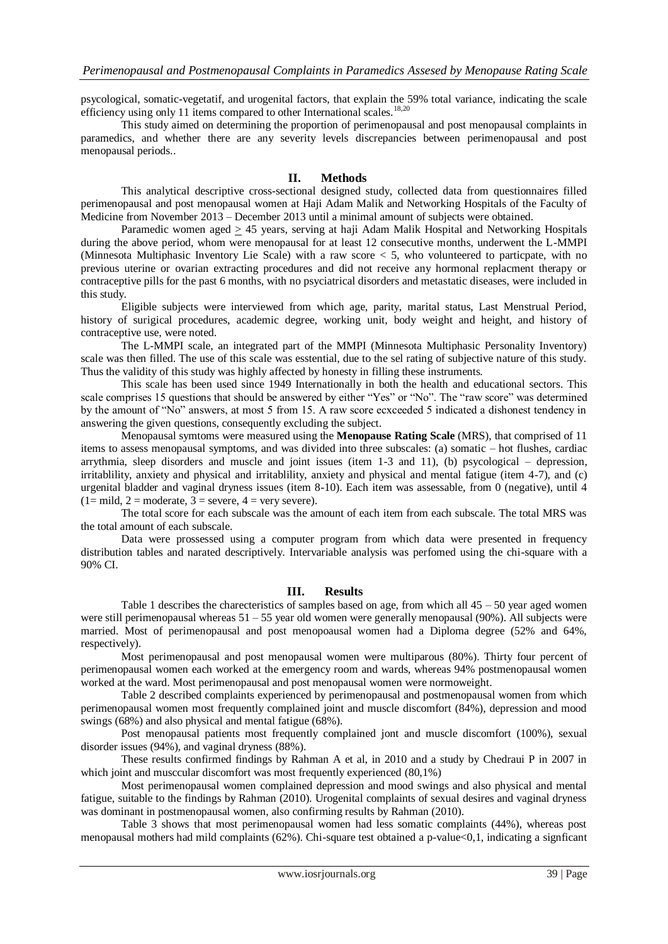psycological, somatic-vegetatif, and urogenital factors, that explain the 59% total variance, indicating the scale efficiency using only 11 items compared to other International scales.<sup>18,20</sup>

This study aimed on determining the proportion of perimenopausal and post menopausal complaints in paramedics, and whether there are any severity levels discrepancies between perimenopausal and post menopausal periods..

### **II. Methods**

This analytical descriptive cross-sectional designed study, collected data from questionnaires filled perimenopausal and post menopausal women at Haji Adam Malik and Networking Hospitals of the Faculty of Medicine from November 2013 – December 2013 until a minimal amount of subjects were obtained.

Paramedic women aged > 45 years, serving at haji Adam Malik Hospital and Networking Hospitals during the above period, whom were menopausal for at least 12 consecutive months, underwent the L-MMPI (Minnesota Multiphasic Inventory Lie Scale) with a raw score < 5, who volunteered to particpate, with no previous uterine or ovarian extracting procedures and did not receive any hormonal replacment therapy or contraceptive pills for the past 6 months, with no psyciatrical disorders and metastatic diseases, were included in this study.

Eligible subjects were interviewed from which age, parity, marital status, Last Menstrual Period, history of surigical procedures, academic degree, working unit, body weight and height, and history of contraceptive use, were noted.

The L-MMPI scale, an integrated part of the MMPI (Minnesota Multiphasic Personality Inventory) scale was then filled. The use of this scale was esstential, due to the sel rating of subjective nature of this study. Thus the validity of this study was highly affected by honesty in filling these instruments.

This scale has been used since 1949 Internationally in both the health and educational sectors. This scale comprises 15 questions that should be answered by either "Yes" or "No". The "raw score" was determined by the amount of "No" answers, at most 5 from 15. A raw score ecxceeded 5 indicated a dishonest tendency in answering the given questions, consequently excluding the subject.

Menopausal symtoms were measured using the **Menopause Rating Scale** (MRS), that comprised of 11 items to assess menopausal symptoms, and was divided into three subscales: (a) somatic – hot flushes, cardiac arrythmia, sleep disorders and muscle and joint issues (item 1-3 and 11), (b) psycological – depression, irritablility, anxiety and physical and irritablility, anxiety and physical and mental fatigue (item 4-7), and (c) urgenital bladder and vaginal dryness issues (item 8-10). Each item was assessable, from 0 (negative), until 4  $(1=$  mild,  $2=$  moderate,  $3=$  severe,  $4=$  very severe).

The total score for each subscale was the amount of each item from each subscale. The total MRS was the total amount of each subscale.

Data were prossessed using a computer program from which data were presented in frequency distribution tables and narated descriptively. Intervariable analysis was perfomed using the chi-square with a 90% CI.

#### **III. Results**

Table 1 describes the charecteristics of samples based on age, from which all  $45 - 50$  year aged women were still perimenopausal whereas 51 – 55 year old women were generally menopausal (90%). All subjects were married. Most of perimenopausal and post menopoausal women had a Diploma degree (52% and 64%, respectively).

Most perimenopausal and post menopausal women were multiparous (80%). Thirty four percent of perimenopausal women each worked at the emergency room and wards, whereas 94% postmenopausal women worked at the ward. Most perimenopausal and post menopausal women were normoweight.

Table 2 described complaints experienced by perimenopausal and postmenopausal women from which perimenopausal women most frequently complained joint and muscle discomfort (84%), depression and mood swings (68%) and also physical and mental fatigue (68%).

Post menopausal patients most frequently complained jont and muscle discomfort (100%), sexual disorder issues (94%), and vaginal dryness (88%).

These results confirmed findings by Rahman A et al, in 2010 and a study by Chedraui P in 2007 in which joint and musccular discomfort was most frequently experienced (80,1%)

Most perimenopausal women complained depression and mood swings and also physical and mental fatigue, suitable to the findings by Rahman (2010). Urogenital complaints of sexual desires and vaginal dryness was dominant in postmenopausal women, also confirming results by Rahman (2010).

Table 3 shows that most perimenopausal women had less somatic complaints (44%), whereas post menopausal mothers had mild complaints (62%). Chi-square test obtained a p-value<0,1, indicating a signficant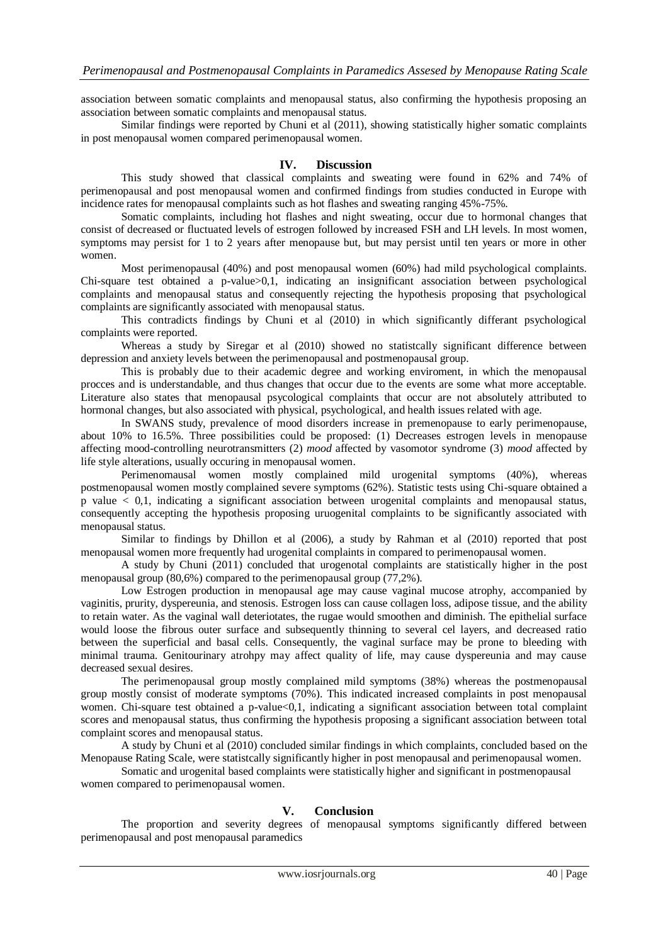association between somatic complaints and menopausal status, also confirming the hypothesis proposing an association between somatic complaints and menopausal status.

Similar findings were reported by Chuni et al (2011), showing statistically higher somatic complaints in post menopausal women compared perimenopausal women.

#### **IV. Discussion**

This study showed that classical complaints and sweating were found in 62% and 74% of perimenopausal and post menopausal women and confirmed findings from studies conducted in Europe with incidence rates for menopausal complaints such as hot flashes and sweating ranging 45%-75%.

Somatic complaints, including hot flashes and night sweating, occur due to hormonal changes that consist of decreased or fluctuated levels of estrogen followed by increased FSH and LH levels. In most women, symptoms may persist for 1 to 2 years after menopause but, but may persist until ten years or more in other women.

Most perimenopausal (40%) and post menopausal women (60%) had mild psychological complaints. Chi-square test obtained a p-value>0,1, indicating an insignificant association between psychological complaints and menopausal status and consequently rejecting the hypothesis proposing that psychological complaints are significantly associated with menopausal status.

This contradicts findings by Chuni et al (2010) in which significantly differant psychological complaints were reported.

Whereas a study by Siregar et al (2010) showed no statistcally significant difference between depression and anxiety levels between the perimenopausal and postmenopausal group.

This is probably due to their academic degree and working enviroment, in which the menopausal procces and is understandable, and thus changes that occur due to the events are some what more acceptable. Literature also states that menopausal psycological complaints that occur are not absolutely attributed to hormonal changes, but also associated with physical, psychological, and health issues related with age.

In SWANS study, prevalence of mood disorders increase in premenopause to early perimenopause, about 10% to 16.5%. Three possibilities could be proposed: (1) Decreases estrogen levels in menopause affecting mood-controlling neurotransmitters (2) *mood* affected by vasomotor syndrome (3) *mood* affected by life style alterations, usually occuring in menopausal women.

Perimenomausal women mostly complained mild urogenital symptoms (40%), whereas postmenopausal women mostly complained severe symptoms (62%). Statistic tests using Chi-square obtained a p value < 0,1, indicating a significant association between urogenital complaints and menopausal status, consequently accepting the hypothesis proposing uruogenital complaints to be significantly associated with menopausal status.

Similar to findings by Dhillon et al (2006), a study by Rahman et al (2010) reported that post menopausal women more frequently had urogenital complaints in compared to perimenopausal women.

A study by Chuni (2011) concluded that urogenotal complaints are statistically higher in the post menopausal group (80,6%) compared to the perimenopausal group (77,2%).

Low Estrogen production in menopausal age may cause vaginal mucose atrophy, accompanied by vaginitis, prurity, dyspereunia, and stenosis. Estrogen loss can cause collagen loss, adipose tissue, and the ability to retain water. As the vaginal wall deteriotates, the rugae would smoothen and diminish. The epithelial surface would loose the fibrous outer surface and subsequently thinning to several cel layers, and decreased ratio between the superficial and basal cells. Consequently, the vaginal surface may be prone to bleeding with minimal trauma. Genitourinary atrohpy may affect quality of life, may cause dyspereunia and may cause decreased sexual desires.

The perimenopausal group mostly complained mild symptoms (38%) whereas the postmenopausal group mostly consist of moderate symptoms (70%). This indicated increased complaints in post menopausal women. Chi-square test obtained a p-value<0,1, indicating a significant association between total complaint scores and menopausal status, thus confirming the hypothesis proposing a significant association between total complaint scores and menopausal status.

A study by Chuni et al (2010) concluded similar findings in which complaints, concluded based on the Menopause Rating Scale, were statistcally significantly higher in post menopausal and perimenopausal women.

Somatic and urogenital based complaints were statistically higher and significant in postmenopausal women compared to perimenopausal women.

#### **V. Conclusion**

The proportion and severity degrees of menopausal symptoms significantly differed between perimenopausal and post menopausal paramedics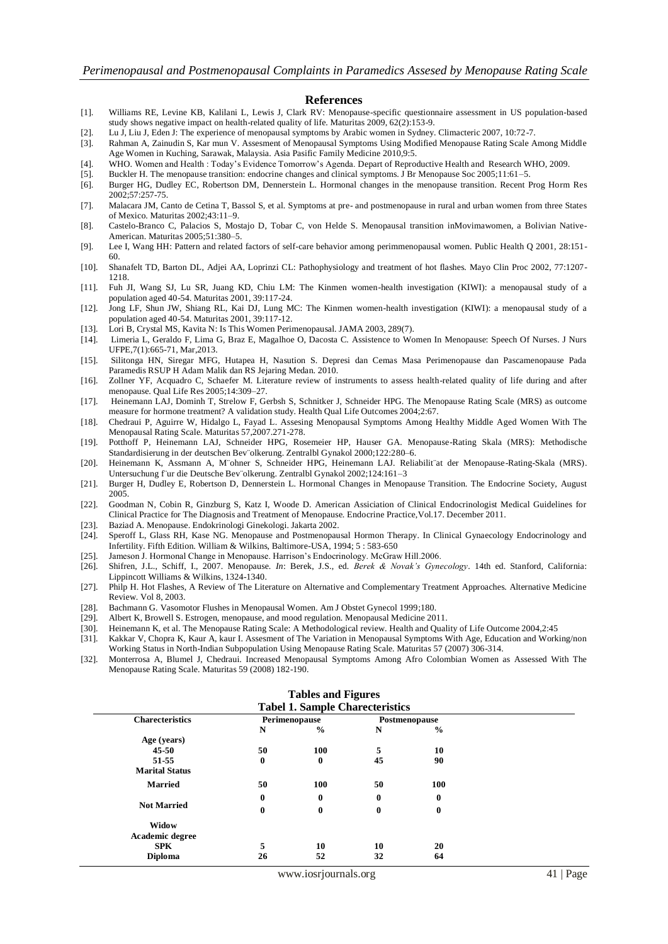#### **References**

- [1]. Williams RE, Levine KB, Kalilani L, Lewis J, Clark RV: Menopause-specific questionnaire assessment in US population-based study shows negative impact on health-related quality of life. Maturitas 2009, 62(2):153-9.
- [2]. Lu J, Liu J, Eden J: The experience of menopausal symptoms by Arabic women in Sydney. Climacteric 2007, 10:72-7.
- [3]. Rahman A, Zainudin S, Kar mun V. Assesment of Menopausal Symptoms Using Modified Menopause Rating Scale Among Middle Age Women in Kuching, Sarawak, Malaysia. Asia Pasific Family Medicine 2010,9:5.
- [4]. WHO. Women and Health : Today's Evidence Tomorrow's Agenda. Depart of Reproductive Health and Research WHO, 2009.
- [5]. Buckler H. The menopause transition: endocrine changes and clinical symptoms. J Br Menopause Soc 2005;11:61–5.
- [6]. Burger HG, Dudley EC, Robertson DM, Dennerstein L. Hormonal changes in the menopause transition. Recent Prog Horm Res 2002;57:257-75.
- [7]. Malacara JM, Canto de Cetina T, Bassol S, et al. Symptoms at pre- and postmenopause in rural and urban women from three States of Mexico. Maturitas 2002;43:11–9.
- [8]. Castelo-Branco C, Palacios S, Mostajo D, Tobar C, von Helde S. Menopausal transition inMovimawomen, a Bolivian Native-American. Maturitas 2005;51:380–5.
- [9]. Lee I, Wang HH: Pattern and related factors of self-care behavior among perimmenopausal women. Public Health Q 2001, 28:151- 60.
- [10]. Shanafelt TD, Barton DL, Adjei AA, Loprinzi CL: Pathophysiology and treatment of hot flashes. Mayo Clin Proc 2002, 77:1207- 1218.
- [11]. Fuh JI, Wang SJ, Lu SR, Juang KD, Chiu LM: The Kinmen women-health investigation (KIWI): a menopausal study of a population aged 40-54. Maturitas 2001, 39:117-24.
- [12]. Jong LF, Shun JW, Shiang RL, Kai DJ, Lung MC: The Kinmen women-health investigation (KIWI): a menopausal study of a population aged 40-54. Maturitas 2001, 39:117-12.
- [13]. Lori B, Crystal MS, Kavita N: Is This Women Perimenopausal. JAMA 2003, 289(7).
- [14]. Limeria L, Geraldo F, Lima G, Braz E, Magalhoe O, Dacosta C. Assistence to Women In Menopause: Speech Of Nurses. J Nurs UFPE,7(1):665-71, Mar,2013.
- [15]. Silitonga HN, Siregar MFG, Hutapea H, Nasution S. Depresi dan Cemas Masa Perimenopause dan Pascamenopause Pada Paramedis RSUP H Adam Malik dan RS Jejaring Medan. 2010.
- [16]. Zollner YF, Acquadro C, Schaefer M. Literature review of instruments to assess health-related quality of life during and after menopause. Qual Life Res 2005;14:309–27.
- [17]. Heinemann LAJ, Dominh T, Strelow F, Gerbsh S, Schnitker J, Schneider HPG. The Menopause Rating Scale (MRS) as outcome measure for hormone treatment? A validation study. Health Qual Life Outcomes 2004;2:67.
- [18]. Chedraui P, Aguirre W, Hidalgo L, Fayad L. Assesing Menopausal Symptoms Among Healthy Middle Aged Women With The Menopausal Rating Scale. Maturitas 57,2007.271-278.
- [19]. Potthoff P, Heinemann LAJ, Schneider HPG, Rosemeier HP, Hauser GA. Menopause-Rating Skala (MRS): Methodische Standardisierung in der deutschen Bev¨olkerung. Zentralbl Gynakol 2000;122:280–6.
- [20]. Heinemann K, Assmann A, M¨ohner S, Schneider HPG, Heinemann LAJ. Reliabilit¨at der Menopause-Rating-Skala (MRS). Untersuchung für die Deutsche Bev"olkerung. Zentralbl Gynakol 2002;124:161-3
- [21]. Burger H, Dudley E, Robertson D, Dennerstein L. Hormonal Changes in Menopause Transition. The Endocrine Society, August 2005.
- [22]. Goodman N, Cobin R, Ginzburg S, Katz I, Woode D. American Assiciation of Clinical Endocrinologist Medical Guidelines for Clinical Practice for The Diagnosis and Treatment of Menopause. Endocrine Practice,Vol.17. December 2011.
- [23]. Baziad A. Menopause. Endokrinologi Ginekologi. Jakarta 2002.
- [24]. Speroff L, Glass RH, Kase NG. Menopause and Postmenopausal Hormon Therapy. In Clinical Gynaecology Endocrinology and Infertility. Fifth Edition. William & Wilkins, Baltimore-USA, 1994; 5 : 583-650
- [25]. Jameson J. Hormonal Change in Menopause. Harrison's Endocrinology. McGraw Hill.2006.
- [26]. Shifren, J.L., Schiff, I., 2007. Menopause. *In*: Berek, J.S., ed. *Berek & Novak's Gynecology*. 14th ed. Stanford, California: Lippincott Williams & Wilkins, 1324-1340.
- [27]. Philp H. Hot Flashes, A Review of The Literature on Alternative and Complementary Treatment Approaches. Alternative Medicine Review. Vol 8, 2003.
- [28]. Bachmann G. Vasomotor Flushes in Menopausal Women. Am J Obstet Gynecol 1999;180.
- [29]. Albert K, Browell S. Estrogen, menopause, and mood regulation. Menopausal Medicine 2011.
- [30]. Heinemann K, et al. The Menopause Rating Scale: A Methodological review. Health and Quality of Life Outcome 2004,2:45
- [31]. Kakkar V, Chopra K, Kaur A, kaur I. Assesment of The Variation in Menopausal Symptoms With Age, Education and Working/non Working Status in North-Indian Subpopulation Using Menopause Rating Scale. Maturitas 57 (2007) 306-314.
- [32]. Monterrosa A, Blumel J, Chedraui. Increased Menopausal Symptoms Among Afro Colombian Women as Assessed With The Menopause Rating Scale. Maturitas 59 (2008) 182-190.

|                        |          | <b>Tabel 1. Sample Charecteristics</b> |          |               |  |
|------------------------|----------|----------------------------------------|----------|---------------|--|
| <b>Charecteristics</b> |          | Perimenopause                          |          | Postmenopause |  |
|                        | N        | $\frac{0}{0}$                          | N        | $\frac{0}{0}$ |  |
| Age (years)            |          |                                        |          |               |  |
| $45 - 50$              | 50       | 100                                    | 5        | 10            |  |
| 51-55                  | $\bf{0}$ | 0                                      | 45       | 90            |  |
| <b>Marital Status</b>  |          |                                        |          |               |  |
| <b>Married</b>         | 50       | 100                                    | 50       | 100           |  |
|                        | $\bf{0}$ | $\bf{0}$                               | $\bf{0}$ | $\bf{0}$      |  |
| <b>Not Married</b>     | $\bf{0}$ | $\bf{0}$                               | $\bf{0}$ | $\bf{0}$      |  |
| Widow                  |          |                                        |          |               |  |
| Academic degree        |          |                                        |          |               |  |
| <b>SPK</b>             | 5        | 10                                     | 10       | 20            |  |
| <b>Diploma</b>         | 26       | 52                                     | 32       | 64            |  |

#### **Tables and Figures**